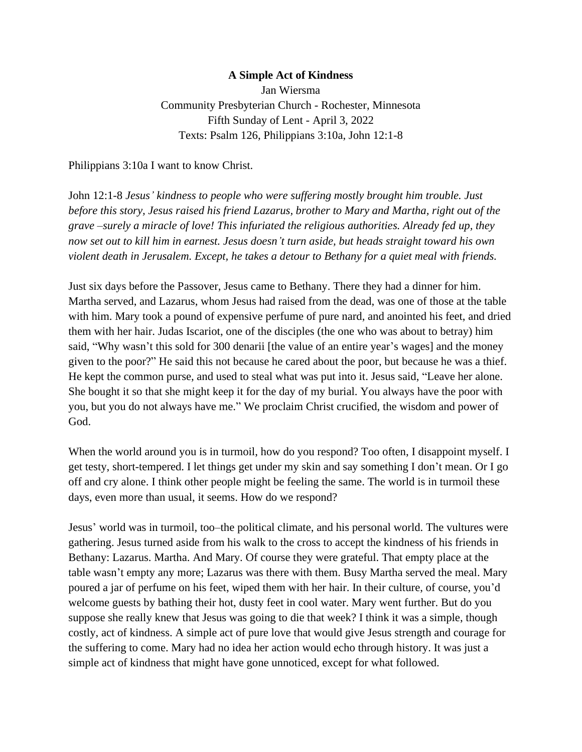## **A Simple Act of Kindness**

Jan Wiersma Community Presbyterian Church - Rochester, Minnesota Fifth Sunday of Lent - April 3, 2022 Texts: Psalm 126, Philippians 3:10a, John 12:1-8

Philippians 3:10a I want to know Christ.

John 12:1-8 *Jesus' kindness to people who were suffering mostly brought him trouble. Just before this story, Jesus raised his friend Lazarus, brother to Mary and Martha, right out of the grave –surely a miracle of love! This infuriated the religious authorities. Already fed up, they now set out to kill him in earnest. Jesus doesn't turn aside, but heads straight toward his own violent death in Jerusalem. Except, he takes a detour to Bethany for a quiet meal with friends.*

Just six days before the Passover, Jesus came to Bethany. There they had a dinner for him. Martha served, and Lazarus, whom Jesus had raised from the dead, was one of those at the table with him. Mary took a pound of expensive perfume of pure nard, and anointed his feet, and dried them with her hair. Judas Iscariot, one of the disciples (the one who was about to betray) him said, "Why wasn't this sold for 300 denarii [the value of an entire year's wages] and the money given to the poor?" He said this not because he cared about the poor, but because he was a thief. He kept the common purse, and used to steal what was put into it. Jesus said, "Leave her alone. She bought it so that she might keep it for the day of my burial. You always have the poor with you, but you do not always have me." We proclaim Christ crucified, the wisdom and power of God.

When the world around you is in turmoil, how do you respond? Too often, I disappoint myself. I get testy, short-tempered. I let things get under my skin and say something I don't mean. Or I go off and cry alone. I think other people might be feeling the same. The world is in turmoil these days, even more than usual, it seems. How do we respond?

Jesus' world was in turmoil, too–the political climate, and his personal world. The vultures were gathering. Jesus turned aside from his walk to the cross to accept the kindness of his friends in Bethany: Lazarus. Martha. And Mary. Of course they were grateful. That empty place at the table wasn't empty any more; Lazarus was there with them. Busy Martha served the meal. Mary poured a jar of perfume on his feet, wiped them with her hair. In their culture, of course, you'd welcome guests by bathing their hot, dusty feet in cool water. Mary went further. But do you suppose she really knew that Jesus was going to die that week? I think it was a simple, though costly, act of kindness. A simple act of pure love that would give Jesus strength and courage for the suffering to come. Mary had no idea her action would echo through history. It was just a simple act of kindness that might have gone unnoticed, except for what followed.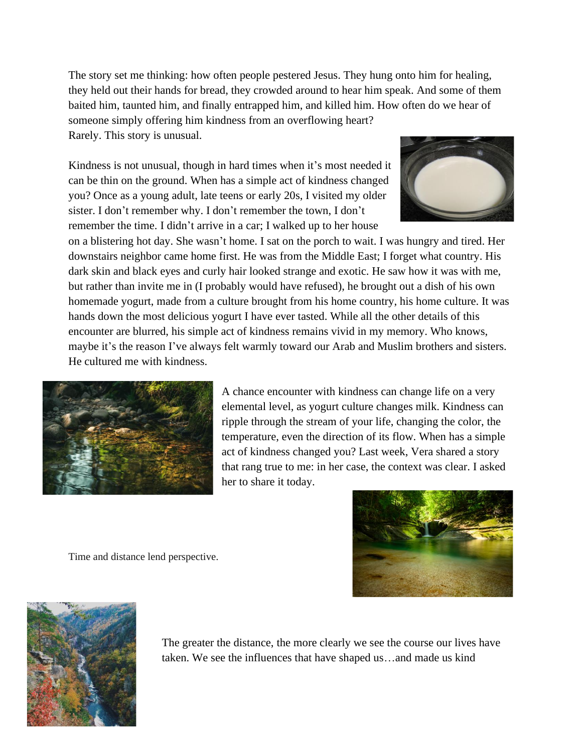The story set me thinking: how often people pestered Jesus. They hung onto him for healing, they held out their hands for bread, they crowded around to hear him speak. And some of them baited him, taunted him, and finally entrapped him, and killed him. How often do we hear of someone simply offering him kindness from an overflowing heart? Rarely. This story is unusual.

Kindness is not unusual, though in hard times when it's most needed it can be thin on the ground. When has a simple act of kindness changed you? Once as a young adult, late teens or early 20s, I visited my older sister. I don't remember why. I don't remember the town, I don't remember the time. I didn't arrive in a car; I walked up to her house



on a blistering hot day. She wasn't home. I sat on the porch to wait. I was hungry and tired. Her downstairs neighbor came home first. He was from the Middle East; I forget what country. His dark skin and black eyes and curly hair looked strange and exotic. He saw how it was with me, but rather than invite me in (I probably would have refused), he brought out a dish of his own homemade yogurt, made from a culture brought from his home country, his home culture. It was hands down the most delicious yogurt I have ever tasted. While all the other details of this encounter are blurred, his simple act of kindness remains vivid in my memory. Who knows, maybe it's the reason I've always felt warmly toward our Arab and Muslim brothers and sisters. He cultured me with kindness.



A chance encounter with kindness can change life on a very elemental level, as yogurt culture changes milk. Kindness can ripple through the stream of your life, changing the color, the temperature, even the direction of its flow. When has a simple act of kindness changed you? Last week, Vera shared a story that rang true to me: in her case, the context was clear. I asked her to share it today.

Time and distance lend perspective.





The greater the distance, the more clearly we see the course our lives have taken. We see the influences that have shaped us…and made us kind